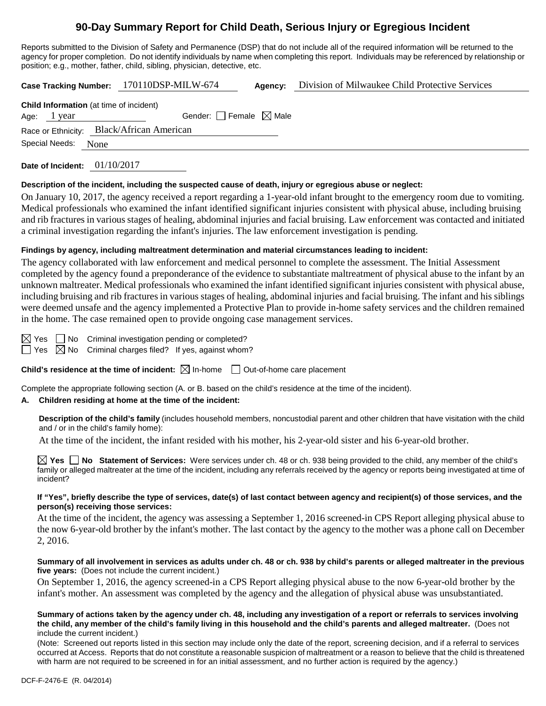# **90-Day Summary Report for Child Death, Serious Injury or Egregious Incident**

Reports submitted to the Division of Safety and Permanence (DSP) that do not include all of the required information will be returned to the agency for proper completion. Do not identify individuals by name when completing this report. Individuals may be referenced by relationship or position; e.g., mother, father, child, sibling, physician, detective, etc.

**Case Tracking Number:** 170110DSP-MILW-674 **Agency:** Division of Milwaukee Child Protective Services

|                | <b>Child Information</b> (at time of incident) |  |
|----------------|------------------------------------------------|--|
| Age: $1$ year  | Gender: Female $\boxtimes$ Male                |  |
|                | Race or Ethnicity: Black/African American      |  |
| Special Needs: | <b>None</b>                                    |  |
|                |                                                |  |

**Date of Incident:** 01/10/2017

#### **Description of the incident, including the suspected cause of death, injury or egregious abuse or neglect:**

On January 10, 2017, the agency received a report regarding a 1-year-old infant brought to the emergency room due to vomiting. Medical professionals who examined the infant identified significant injuries consistent with physical abuse, including bruising and rib fractures in various stages of healing, abdominal injuries and facial bruising. Law enforcement was contacted and initiated a criminal investigation regarding the infant's injuries. The law enforcement investigation is pending.

#### **Findings by agency, including maltreatment determination and material circumstances leading to incident:**

The agency collaborated with law enforcement and medical personnel to complete the assessment. The Initial Assessment completed by the agency found a preponderance of the evidence to substantiate maltreatment of physical abuse to the infant by an unknown maltreater. Medical professionals who examined the infant identified significant injuries consistent with physical abuse, including bruising and rib fractures in various stages of healing, abdominal injuries and facial bruising. The infant and his siblings were deemed unsafe and the agency implemented a Protective Plan to provide in-home safety services and the children remained in the home. The case remained open to provide ongoing case management services.

 $\boxtimes$  Yes  $\Box$  No Criminal investigation pending or completed?

 $\Box$  Yes  $\boxtimes$  No Criminal charges filed? If yes, against whom?

**Child's residence at the time of incident:**  $\boxtimes$  In-home  $\Box$  Out-of-home care placement

Complete the appropriate following section (A. or B. based on the child's residence at the time of the incident).

## **A. Children residing at home at the time of the incident:**

**Description of the child's family** (includes household members, noncustodial parent and other children that have visitation with the child and / or in the child's family home):

At the time of the incident, the infant resided with his mother, his 2-year-old sister and his 6-year-old brother.

**Yes No Statement of Services:** Were services under ch. 48 or ch. 938 being provided to the child, any member of the child's family or alleged maltreater at the time of the incident, including any referrals received by the agency or reports being investigated at time of incident?

## **If "Yes", briefly describe the type of services, date(s) of last contact between agency and recipient(s) of those services, and the person(s) receiving those services:**

At the time of the incident, the agency was assessing a September 1, 2016 screened-in CPS Report alleging physical abuse to the now 6-year-old brother by the infant's mother. The last contact by the agency to the mother was a phone call on December 2, 2016.

#### **Summary of all involvement in services as adults under ch. 48 or ch. 938 by child's parents or alleged maltreater in the previous five years:** (Does not include the current incident.)

On September 1, 2016, the agency screened-in a CPS Report alleging physical abuse to the now 6-year-old brother by the infant's mother. An assessment was completed by the agency and the allegation of physical abuse was unsubstantiated.

#### **Summary of actions taken by the agency under ch. 48, including any investigation of a report or referrals to services involving the child, any member of the child's family living in this household and the child's parents and alleged maltreater.** (Does not include the current incident.)

(Note: Screened out reports listed in this section may include only the date of the report, screening decision, and if a referral to services occurred at Access. Reports that do not constitute a reasonable suspicion of maltreatment or a reason to believe that the child is threatened with harm are not required to be screened in for an initial assessment, and no further action is required by the agency.)